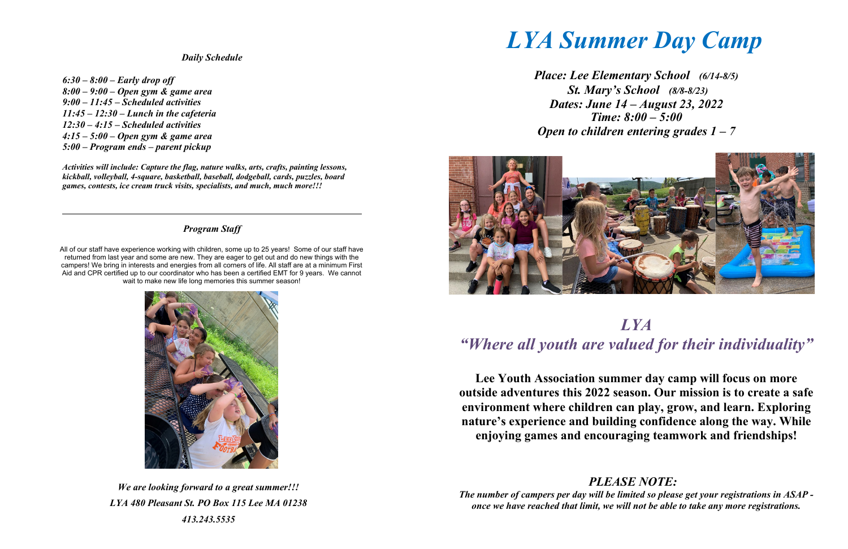*Daily Schedule*

*6:30 – 8:00 – Early drop off 8:00 – 9:00 – Open gym & game area 9:00 – 11:45 – Scheduled activities 11:45 – 12:30 – Lunch in the cafeteria 12:30 – 4:15 – Scheduled activities 4:15 – 5:00 – Open gym & game area 5:00 – Program ends – parent pickup*

*Activities will include: Capture the flag, nature walks, arts, crafts, painting lessons, kickball, volleyball, 4-square, basketball, baseball, dodgeball, cards, puzzles, board games, contests, ice cream truck visits, specialists, and much, much more!!!*

## *Program Staff*

All of our staff have experience working with children, some up to 25 years! Some of our staff have returned from last year and some are new. They are eager to get out and do new things with the campers! We bring in interests and energies from all corners of life. All staff are at a minimum First Aid and CPR certified up to our coordinator who has been a certified EMT for 9 years. We cannot wait to make new life long memories this summer season!



*We are looking forward to a great summer!!! LYA 480 Pleasant St. PO Box 115 Lee MA 01238 413.243.5535*

*LYA Summer Day Camp* 

*Place: Lee Elementary School (6/14-8/5) St. Mary's School (8/8-8/23) Dates: June 14 – August 23, 2022 Time: 8:00 – 5:00 Open to children entering grades 1 – 7* 



# *LYA "Where all youth are valued for their individuality"*

**Lee Youth Association summer day camp will focus on more outside adventures this 2022 season. Our mission is to create a safe environment where children can play, grow, and learn. Exploring nature's experience and building confidence along the way. While enjoying games and encouraging teamwork and friendships!** 

*PLEASE NOTE: The number of campers per day will be limited so please get your registrations in ASAP once we have reached that limit, we will not be able to take any more registrations.*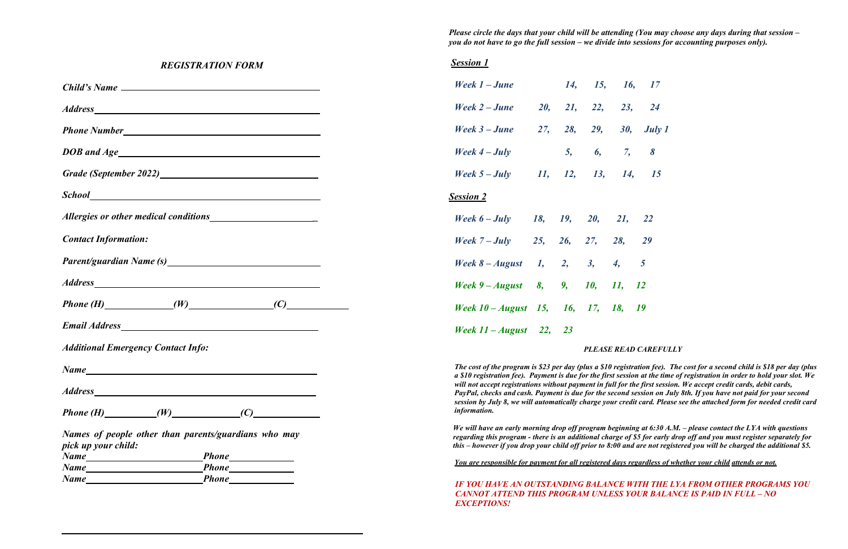*Please circle the days that your child will be attending (You may choose any days during that session – you do not have to go the full session – we divide into sessions for accounting purposes only).*

#### *PLEASE READ CAREFULLY*

*The program is the cost for a second child is \$18 per day (plus a registration fee). The cost for a second child is \$18 per day (plus aby st session at the time of registration in order to hold your slot. We will not accept registrations without payment in full for the first session. We accept credit cards, debit cards, PayPal, checks and cash. Payment is due for the second session on July 8th. If you have not paid for your second session by July 8, we will automatically charge your credit card. Please see the attached form for needed credit card* 

*Weginning at 6:30 A.M. – please contact the LYA with questions regarding this program - there is an additional charge of \$5 for early drop off and you must register separately for this – however if you drop your child off prior to 8:00 and are not registered you will be charged the additional \$5.*

#### **IF YOU AT AN AVAIRT AND AN AVAIRT AND AN AVAIRT AND AN AVAIRT AND AVAIRT AND AVAIR AND AVAIR PROGRAMS YOU** *CANNOT ATTEND THIS PROGRAM UNLESS YOUR BALANCE IS PAID IN FULL – NO*

| <b>REGISTRATION FORM</b>                                                  | <b>Session 1</b>                                                                                                                                                                                                                           |                            |                |                   |  |
|---------------------------------------------------------------------------|--------------------------------------------------------------------------------------------------------------------------------------------------------------------------------------------------------------------------------------------|----------------------------|----------------|-------------------|--|
|                                                                           | Week 1 – June                                                                                                                                                                                                                              | 14, 15, 16,                |                | 17                |  |
|                                                                           | Week 2 – June 20, 21, 22,                                                                                                                                                                                                                  |                            | 23,            | <b>24</b>         |  |
|                                                                           | Week 3 – June 27, 28, 29,                                                                                                                                                                                                                  |                            |                | 30, <i>July 1</i> |  |
|                                                                           | Week $4 - July$                                                                                                                                                                                                                            | 5, 6, 7, 8                 |                |                   |  |
| Grade (September 2022)<br><u>Crade</u> (September 2022)                   | Week 5 – July 11, 12, 13, 14, 15                                                                                                                                                                                                           |                            |                |                   |  |
|                                                                           | <b>Session 2</b>                                                                                                                                                                                                                           |                            |                |                   |  |
|                                                                           | Week 6 - July 18, 19, 20, 21, 22                                                                                                                                                                                                           |                            |                |                   |  |
| <b>Contact Information:</b>                                               | Week $7 - July$ 25, 26, 27, 28,                                                                                                                                                                                                            |                            |                | 29                |  |
|                                                                           | Week $8 - August \t1, \t2, \t3, \t4,$                                                                                                                                                                                                      |                            | $\overline{5}$ |                   |  |
|                                                                           | Week 9 – August 8, 9, 10, 11, 12                                                                                                                                                                                                           |                            |                |                   |  |
|                                                                           | Week 10 – August 15, 16, 17, 18, 19                                                                                                                                                                                                        |                            |                |                   |  |
|                                                                           | Week $11 - August \quad 22, \quad 23$                                                                                                                                                                                                      |                            |                |                   |  |
| <b>Additional Emergency Contact Info:</b>                                 |                                                                                                                                                                                                                                            | <b>PLEASE READ CAREFU.</b> |                |                   |  |
| <b>Name</b><br><u> 1989 - Johann Stoff, amerikansk politiker (* 1908)</u> | The cost of the program is \$23 per day (plus a \$10 registration fee).<br>a \$10 registration fee). Payment is due for the first session at the tin                                                                                       |                            |                |                   |  |
|                                                                           | will not accept registrations without payment in full for the first sess.<br>PayPal, checks and cash. Payment is due for the second session on J<br>session by July 8, we will automatically charge your credit card. Pled<br>information. |                            |                |                   |  |
|                                                                           |                                                                                                                                                                                                                                            |                            |                |                   |  |
| Names of people other than parents/guardians who may                      | We will have an early morning drop off program beginning at 6:30 A<br>regarding this program - there is an additional charge of \$5 for early<br>this $-$ however if you drop your child off prior to 8:00 and are not reg                 |                            |                |                   |  |
| pick up your child:                                                       |                                                                                                                                                                                                                                            |                            |                |                   |  |
| Phone<br>Name                                                             | You are responsible for payment for all registered days regardless of                                                                                                                                                                      |                            |                |                   |  |
| Name                                                                      | IF YOU HAVE AN OUTSTANDING BALANCE WITH THE<br>CANNOT ATTEND THIS DDOCD AM HNI ESS VOIID DAI.                                                                                                                                              |                            |                |                   |  |

*You are responsible for payment for all registered days regardless of whether your child attends or not.*

*EXCEPTIONS!*

| 16, | 17     |
|-----|--------|
| 23, | 24     |
| 80, | July 1 |
| 7,  | 8      |
| 14, | 15     |
|     |        |
| l,  | 22     |
| ,   | 29     |
|     | 5      |
|     | 12     |
|     | 19     |